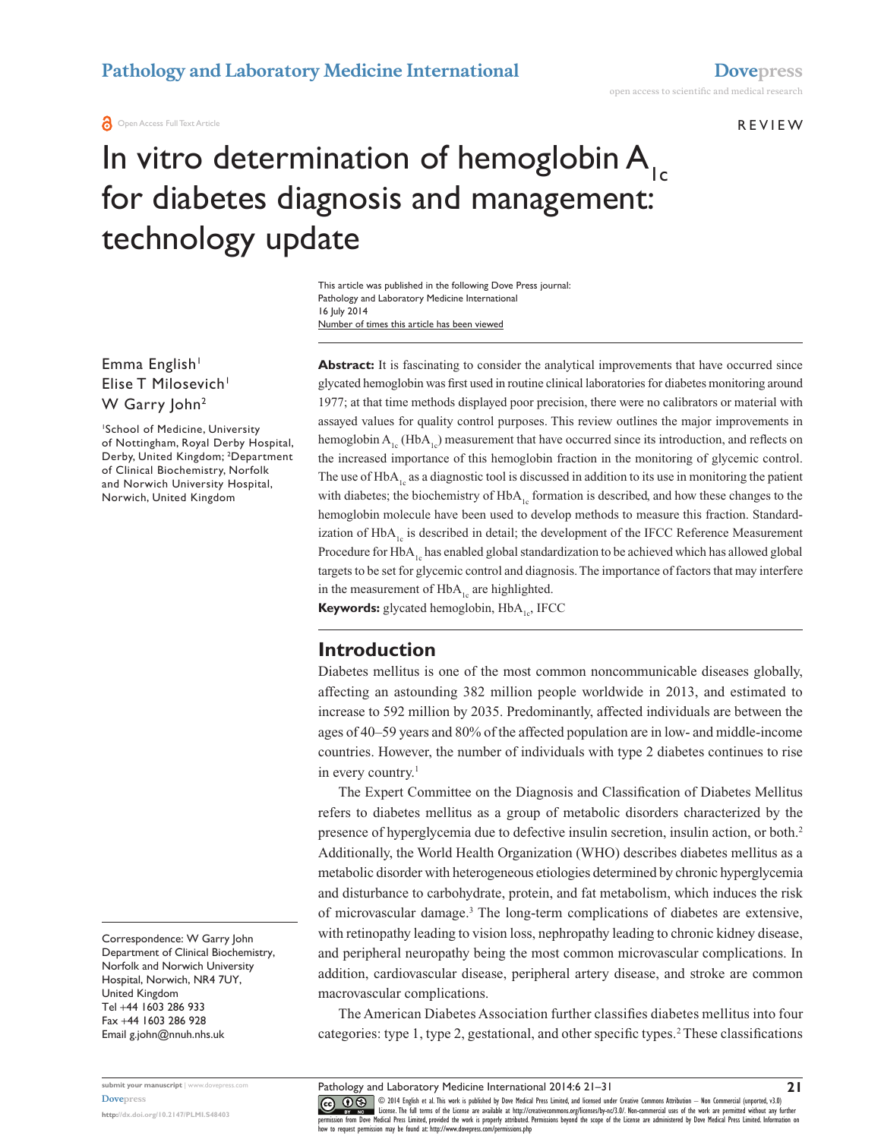**a** Open Access Full Text Article

#### **REVIEW**

# In vitro determination of hemoglobin  $A_{1c}$ for diabetes diagnosis and management: technology update

Number of times this article has been viewed This article was published in the following Dove Press journal: Pathology and Laboratory Medicine International 16 July 2014

Emma English<sup>1</sup> Elise T Milosevich<sup>1</sup> W Garry John<sup>2</sup>

1 School of Medicine, University of Nottingham, Royal Derby Hospital, Derby, United Kingdom; <sup>2</sup> Department of Clinical Biochemistry, Norfolk and Norwich University Hospital, Norwich, United Kingdom

Correspondence: W Garry John Department of Clinical Biochemistry, Norfolk and Norwich University Hospital, Norwich, NR4 7UY, United Kingdom Tel +44 1603 286 933 Fax +44 1603 286 928 Email [g.john@nnuh.nhs.uk](mailto:g.john@nnuh.nhs.uk)

**submit your manuscript** | <www.dovepress.com> **[Dovepress](www.dovepress.com)**

**<http://dx.doi.org/10.2147/PLMI.S48403>**

**Abstract:** It is fascinating to consider the analytical improvements that have occurred since glycated hemoglobin was first used in routine clinical laboratories for diabetes monitoring around 1977; at that time methods displayed poor precision, there were no calibrators or material with assayed values for quality control purposes. This review outlines the major improvements in hemoglobin  $A_{1c}$  (Hb $A_{1c}$ ) measurement that have occurred since its introduction, and reflects on the increased importance of this hemoglobin fraction in the monitoring of glycemic control. The use of  $HbA<sub>1a</sub>$  as a diagnostic tool is discussed in addition to its use in monitoring the patient with diabetes; the biochemistry of  $HbA_{1c}$  formation is described, and how these changes to the hemoglobin molecule have been used to develop methods to measure this fraction. Standardization of  $HbA<sub>1<sub>c</sub></sub>$  is described in detail; the development of the IFCC Reference Measurement Procedure for  $HbA_1$ , has enabled global standardization to be achieved which has allowed global targets to be set for glycemic control and diagnosis. The importance of factors that may interfere in the measurement of  $HbA_{1c}$  are highlighted.

**Keywords:** glycated hemoglobin, HbA<sub>1c</sub>, IFCC

#### **Introduction**

Diabetes mellitus is one of the most common noncommunicable diseases globally, affecting an astounding 382 million people worldwide in 2013, and estimated to increase to 592 million by 2035. Predominantly, affected individuals are between the ages of 40–59 years and 80% of the affected population are in low- and middle-income countries. However, the number of individuals with type 2 diabetes continues to rise in every country.<sup>1</sup>

The Expert Committee on the Diagnosis and Classification of Diabetes Mellitus refers to diabetes mellitus as a group of metabolic disorders characterized by the presence of hyperglycemia due to defective insulin secretion, insulin action, or both.2 Additionally, the World Health Organization (WHO) describes diabetes mellitus as a metabolic disorder with heterogeneous etiologies determined by chronic hyperglycemia and disturbance to carbohydrate, protein, and fat metabolism, which induces the risk of microvascular damage.3 The long-term complications of diabetes are extensive, with retinopathy leading to vision loss, nephropathy leading to chronic kidney disease, and peripheral neuropathy being the most common microvascular complications. In addition, cardiovascular disease, peripheral artery disease, and stroke are common macrovascular complications.

The American Diabetes Association further classifies diabetes mellitus into four categories: type 1, type 2, gestational, and other specific types.<sup>2</sup> These classifications

CO ODI 4 English et al. This work is published by Dove Medical Press Limited, and licensed under Creative Commons Attribution - Non Commercial (unported, v3.0)<br> [permission from Dove M](http://www.dovepress.com/permissions.php)edical Press Limited, provided the work how to request permission may be found at: http://www.dovepress.com/permissions.php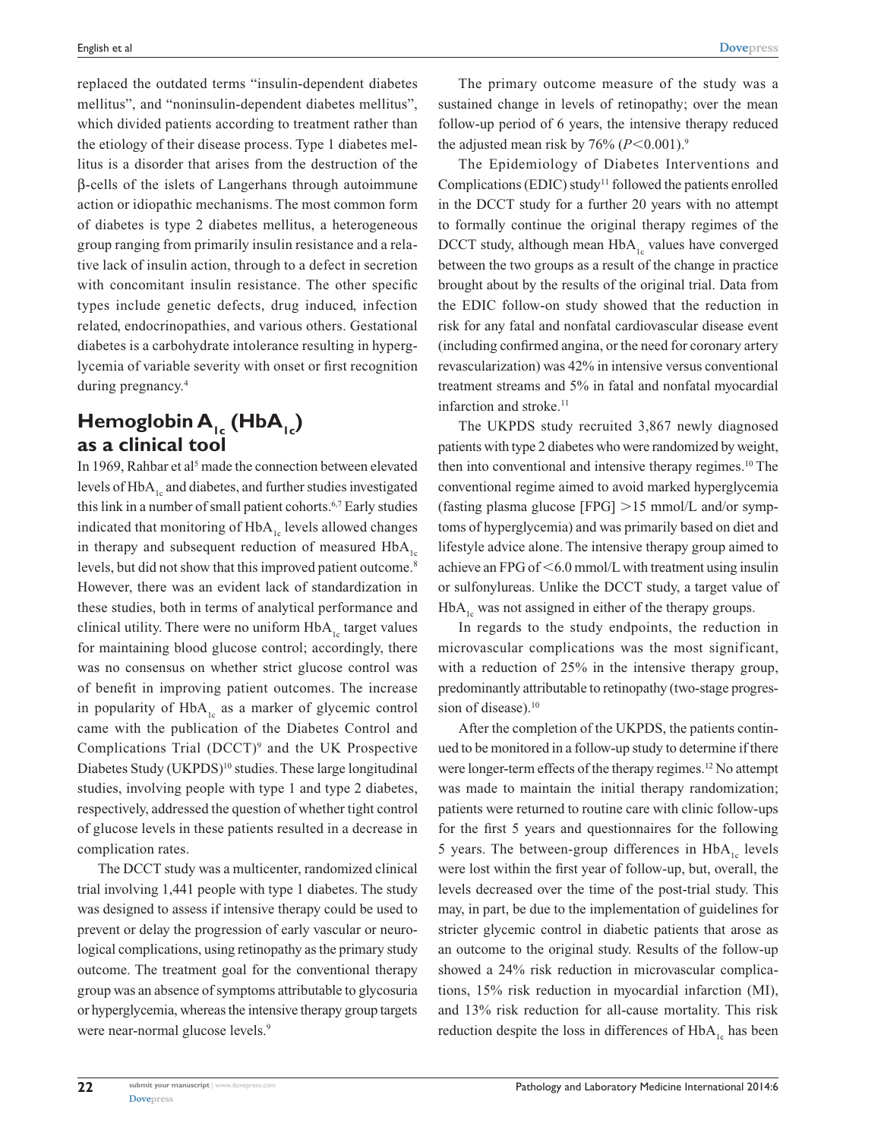replaced the outdated terms "insulin-dependent diabetes mellitus", and "noninsulin-dependent diabetes mellitus", which divided patients according to treatment rather than the etiology of their disease process. Type 1 diabetes mellitus is a disorder that arises from the destruction of the β-cells of the islets of Langerhans through autoimmune action or idiopathic mechanisms. The most common form of diabetes is type 2 diabetes mellitus, a heterogeneous group ranging from primarily insulin resistance and a relative lack of insulin action, through to a defect in secretion with concomitant insulin resistance. The other specific types include genetic defects, drug induced, infection related, endocrinopathies, and various others. Gestational diabetes is a carbohydrate intolerance resulting in hyperglycemia of variable severity with onset or first recognition during pregnancy.4

### Hemoglobin A<sub>1c</sub> (HbA<sub>1c</sub>) **as a clinical tool**

In 1969, Rahbar et al<sup>5</sup> made the connection between elevated levels of  $HbA<sub>1c</sub>$  and diabetes, and further studies investigated this link in a number of small patient cohorts.6,7 Early studies indicated that monitoring of  $HbA_{1c}$  levels allowed changes in therapy and subsequent reduction of measured  $HbA<sub>1c</sub>$ levels, but did not show that this improved patient outcome.<sup>8</sup> However, there was an evident lack of standardization in these studies, both in terms of analytical performance and clinical utility. There were no uniform  $HbA<sub>1c</sub>$  target values for maintaining blood glucose control; accordingly, there was no consensus on whether strict glucose control was of benefit in improving patient outcomes. The increase in popularity of  $HbA_1$  as a marker of glycemic control came with the publication of the Diabetes Control and Complications Trial  $(DCCT)^9$  and the UK Prospective Diabetes Study (UKPDS)<sup>10</sup> studies. These large longitudinal studies, involving people with type 1 and type 2 diabetes, respectively, addressed the question of whether tight control of glucose levels in these patients resulted in a decrease in complication rates.

The DCCT study was a multicenter, randomized clinical trial involving 1,441 people with type 1 diabetes. The study was designed to assess if intensive therapy could be used to prevent or delay the progression of early vascular or neurological complications, using retinopathy as the primary study outcome. The treatment goal for the conventional therapy group was an absence of symptoms attributable to glycosuria or hyperglycemia, whereas the intensive therapy group targets were near-normal glucose levels.<sup>9</sup>

The primary outcome measure of the study was a sustained change in levels of retinopathy; over the mean follow-up period of 6 years, the intensive therapy reduced the adjusted mean risk by  $76\%$  ( $P < 0.001$ ).<sup>9</sup>

The Epidemiology of Diabetes Interventions and Complications (EDIC) study<sup>11</sup> followed the patients enrolled in the DCCT study for a further 20 years with no attempt to formally continue the original therapy regimes of the DCCT study, although mean  $HbA<sub>1c</sub>$  values have converged between the two groups as a result of the change in practice brought about by the results of the original trial. Data from the EDIC follow-on study showed that the reduction in risk for any fatal and nonfatal cardiovascular disease event (including confirmed angina, or the need for coronary artery revascularization) was 42% in intensive versus conventional treatment streams and 5% in fatal and nonfatal myocardial infarction and stroke. $11$ 

The UKPDS study recruited 3,867 newly diagnosed patients with type 2 diabetes who were randomized by weight, then into conventional and intensive therapy regimes.<sup>10</sup> The conventional regime aimed to avoid marked hyperglycemia (fasting plasma glucose [FPG]  $>15$  mmol/L and/or symptoms of hyperglycemia) and was primarily based on diet and lifestyle advice alone. The intensive therapy group aimed to achieve an FPG of  $\leq 6.0$  mmol/L with treatment using insulin or sulfonylureas. Unlike the DCCT study, a target value of  $HbA<sub>1c</sub>$  was not assigned in either of the therapy groups.

In regards to the study endpoints, the reduction in microvascular complications was the most significant, with a reduction of 25% in the intensive therapy group, predominantly attributable to retinopathy (two-stage progression of disease).<sup>10</sup>

After the completion of the UKPDS, the patients continued to be monitored in a follow-up study to determine if there were longer-term effects of the therapy regimes.12 No attempt was made to maintain the initial therapy randomization; patients were returned to routine care with clinic follow-ups for the first 5 years and questionnaires for the following 5 years. The between-group differences in  $HbA_{1c}$  levels were lost within the first year of follow-up, but, overall, the levels decreased over the time of the post-trial study. This may, in part, be due to the implementation of guidelines for stricter glycemic control in diabetic patients that arose as an outcome to the original study. Results of the follow-up showed a 24% risk reduction in microvascular complications, 15% risk reduction in myocardial infarction (MI), and 13% risk reduction for all-cause mortality. This risk reduction despite the loss in differences of  $HbA<sub>1c</sub>$  has been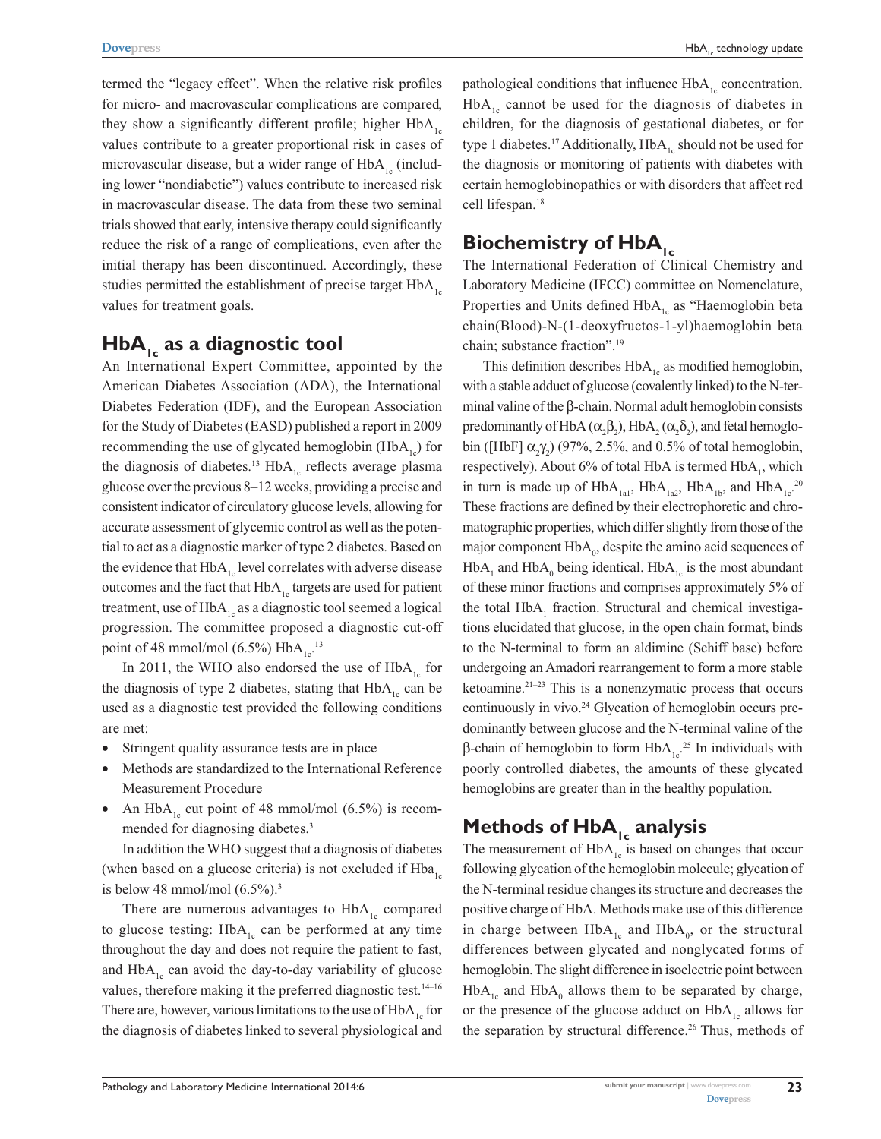termed the "legacy effect". When the relative risk profiles for micro- and macrovascular complications are compared, they show a significantly different profile; higher  $HbA_{1c}$ values contribute to a greater proportional risk in cases of microvascular disease, but a wider range of  $HbA<sub>1a</sub>$  (including lower "nondiabetic") values contribute to increased risk in macrovascular disease. The data from these two seminal trials showed that early, intensive therapy could significantly reduce the risk of a range of complications, even after the initial therapy has been discontinued. Accordingly, these studies permitted the establishment of precise target  $HbA_1$ values for treatment goals.

### **HbA1c as a diagnostic tool**

An International Expert Committee, appointed by the American Diabetes Association (ADA), the International Diabetes Federation (IDF), and the European Association for the Study of Diabetes (EASD) published a report in 2009 recommending the use of glycated hemoglobin  $(HbA<sub>1c</sub>)$  for the diagnosis of diabetes.<sup>13</sup> HbA<sub>1c</sub> reflects average plasma glucose over the previous 8–12 weeks, providing a precise and consistent indicator of circulatory glucose levels, allowing for accurate assessment of glycemic control as well as the potential to act as a diagnostic marker of type 2 diabetes. Based on the evidence that  $HbA_{1c}$  level correlates with adverse disease outcomes and the fact that  $HbA<sub>1c</sub>$  targets are used for patient treatment, use of  $HbA<sub>1c</sub>$  as a diagnostic tool seemed a logical progression. The committee proposed a diagnostic cut-off point of 48 mmol/mol (6.5%)  $HbA_{1c}$ <sup>13</sup>

In 2011, the WHO also endorsed the use of  $HbA<sub>1c</sub>$  for the diagnosis of type 2 diabetes, stating that  $HbA<sub>1c</sub>$  can be used as a diagnostic test provided the following conditions are met:

- Stringent quality assurance tests are in place
- Methods are standardized to the International Reference Measurement Procedure
- An HbA<sub>1c</sub> cut point of 48 mmol/mol  $(6.5\%)$  is recommended for diagnosing diabetes.<sup>3</sup>

In addition the WHO suggest that a diagnosis of diabetes (when based on a glucose criteria) is not excluded if  $Hba_{1c}$ is below 48 mmol/mol  $(6.5\%)$ .<sup>3</sup>

There are numerous advantages to  $HbA_{1c}$  compared to glucose testing:  $HbA_{1c}$  can be performed at any time throughout the day and does not require the patient to fast, and  $HbA_{1c}$  can avoid the day-to-day variability of glucose values, therefore making it the preferred diagnostic test.<sup>14-16</sup> There are, however, various limitations to the use of  $HbA<sub>1c</sub>$  for the diagnosis of diabetes linked to several physiological and

pathological conditions that influence  $HbA<sub>1c</sub>$  concentration.  $HbA<sub>1c</sub>$  cannot be used for the diagnosis of diabetes in children, for the diagnosis of gestational diabetes, or for type 1 diabetes.<sup>17</sup> Additionally,  $HbA<sub>1c</sub>$  should not be used for the diagnosis or monitoring of patients with diabetes with certain hemoglobinopathies or with disorders that affect red cell lifespan.18

### **Biochemistry of HbA**<sub>1c</sub>

The International Federation of Clinical Chemistry and Laboratory Medicine (IFCC) committee on Nomenclature, Properties and Units defined HbA<sub>1c</sub> as "Haemoglobin beta chain(Blood)-N-(1-deoxyfructos-1-yl)haemoglobin beta chain; substance fraction".19

This definition describes  $HbA_{1c}$  as modified hemoglobin, with a stable adduct of glucose (covalently linked) to the N-terminal valine of the β-chain. Normal adult hemoglobin consists predominantly of HbA  $(\alpha_2\beta_2)$ , HbA<sub>2</sub>  $(\alpha_2\delta_2)$ , and fetal hemoglobin ([HbF]  $\alpha_2 \gamma_2$ ) (97%, 2.5%, and 0.5% of total hemoglobin, respectively). About 6% of total HbA is termed  $HbA_1$ , which in turn is made up of  $HbA_{1a1}$ ,  $HbA_{1a2}$ ,  $HbA_{1b}$ , and  $HbA_{1c}$ <sup>20</sup> These fractions are defined by their electrophoretic and chromatographic properties, which differ slightly from those of the major component  $HbA_0$ , despite the amino acid sequences of  $HbA_1$  and  $HbA_0$  being identical.  $HbA_1$  is the most abundant of these minor fractions and comprises approximately 5% of the total  $HbA_1$  fraction. Structural and chemical investigations elucidated that glucose, in the open chain format, binds to the N-terminal to form an aldimine (Schiff base) before undergoing an Amadori rearrangement to form a more stable ketoamine.21–23 This is a nonenzymatic process that occurs continuously in vivo.<sup>24</sup> Glycation of hemoglobin occurs predominantly between glucose and the N-terminal valine of the  $β$ -chain of hemoglobin to form HbA<sub>1c</sub><sup>25</sup> In individuals with poorly controlled diabetes, the amounts of these glycated hemoglobins are greater than in the healthy population.

## **Methods of HbA<sub>1c</sub> analysis**

The measurement of  $HbA_{1c}$  is based on changes that occur following glycation of the hemoglobin molecule; glycation of the N-terminal residue changes its structure and decreases the positive charge of HbA. Methods make use of this difference in charge between  $HbA_{1c}$  and  $HbA_{0c}$ , or the structural differences between glycated and nonglycated forms of hemoglobin. The slight difference in isoelectric point between  $HbA_{1c}$  and  $HbA_0$  allows them to be separated by charge, or the presence of the glucose adduct on  $HbA_{1c}$  allows for the separation by structural difference.<sup>26</sup> Thus, methods of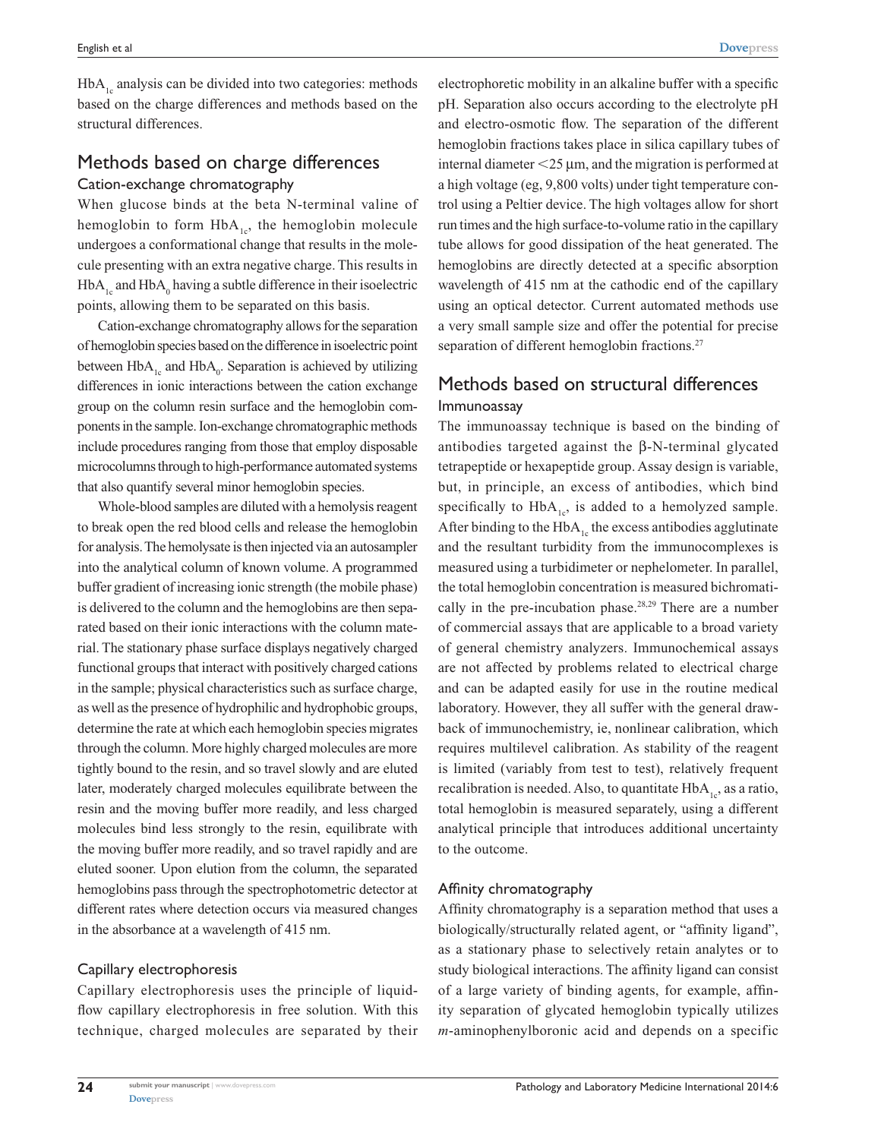$HbA<sub>1c</sub>$  analysis can be divided into two categories: methods based on the charge differences and methods based on the structural differences.

#### Methods based on charge differences Cation-exchange chromatography

When glucose binds at the beta N-terminal valine of hemoglobin to form  $HbA_{1c}$ , the hemoglobin molecule undergoes a conformational change that results in the molecule presenting with an extra negative charge. This results in  $HbA_{1c}$  and  $HbA_0$  having a subtle difference in their isoelectric points, allowing them to be separated on this basis.

Cation-exchange chromatography allows for the separation of hemoglobin species based on the difference in isoelectric point between  $HbA_{1c}$  and  $HbA_{0}$ . Separation is achieved by utilizing differences in ionic interactions between the cation exchange group on the column resin surface and the hemoglobin components in the sample. Ion-exchange chromatographic methods include procedures ranging from those that employ disposable microcolumns through to high-performance automated systems that also quantify several minor hemoglobin species.

Whole-blood samples are diluted with a hemolysis reagent to break open the red blood cells and release the hemoglobin for analysis. The hemolysate is then injected via an autosampler into the analytical column of known volume. A programmed buffer gradient of increasing ionic strength (the mobile phase) is delivered to the column and the hemoglobins are then separated based on their ionic interactions with the column material. The stationary phase surface displays negatively charged functional groups that interact with positively charged cations in the sample; physical characteristics such as surface charge, as well as the presence of hydrophilic and hydrophobic groups, determine the rate at which each hemoglobin species migrates through the column. More highly charged molecules are more tightly bound to the resin, and so travel slowly and are eluted later, moderately charged molecules equilibrate between the resin and the moving buffer more readily, and less charged molecules bind less strongly to the resin, equilibrate with the moving buffer more readily, and so travel rapidly and are eluted sooner. Upon elution from the column, the separated hemoglobins pass through the spectrophotometric detector at different rates where detection occurs via measured changes in the absorbance at a wavelength of 415 nm.

#### Capillary electrophoresis

Capillary electrophoresis uses the principle of liquidflow capillary electrophoresis in free solution. With this technique, charged molecules are separated by their electrophoretic mobility in an alkaline buffer with a specific pH. Separation also occurs according to the electrolyte pH and electro-osmotic flow. The separation of the different hemoglobin fractions takes place in silica capillary tubes of internal diameter  $<$  25  $\mu$ m, and the migration is performed at a high voltage (eg, 9,800 volts) under tight temperature control using a Peltier device. The high voltages allow for short run times and the high surface-to-volume ratio in the capillary tube allows for good dissipation of the heat generated. The hemoglobins are directly detected at a specific absorption wavelength of 415 nm at the cathodic end of the capillary using an optical detector. Current automated methods use a very small sample size and offer the potential for precise separation of different hemoglobin fractions.<sup>27</sup>

#### Methods based on structural differences Immunoassay

The immunoassay technique is based on the binding of antibodies targeted against the β-N-terminal glycated tetrapeptide or hexapeptide group. Assay design is variable, but, in principle, an excess of antibodies, which bind specifically to  $HbA_{1c}$ , is added to a hemolyzed sample. After binding to the  $HbA<sub>1c</sub>$  the excess antibodies agglutinate and the resultant turbidity from the immunocomplexes is measured using a turbidimeter or nephelometer. In parallel, the total hemoglobin concentration is measured bichromatically in the pre-incubation phase.<sup>28,29</sup> There are a number of commercial assays that are applicable to a broad variety of general chemistry analyzers. Immunochemical assays are not affected by problems related to electrical charge and can be adapted easily for use in the routine medical laboratory. However, they all suffer with the general drawback of immunochemistry, ie, nonlinear calibration, which requires multilevel calibration. As stability of the reagent is limited (variably from test to test), relatively frequent recalibration is needed. Also, to quantitate  $HbA_{1c}$ , as a ratio, total hemoglobin is measured separately, using a different analytical principle that introduces additional uncertainty to the outcome.

#### Affinity chromatography

Affinity chromatography is a separation method that uses a biologically/structurally related agent, or "affinity ligand", as a stationary phase to selectively retain analytes or to study biological interactions. The affinity ligand can consist of a large variety of binding agents, for example, affinity separation of glycated hemoglobin typically utilizes *m*-aminophenylboronic acid and depends on a specific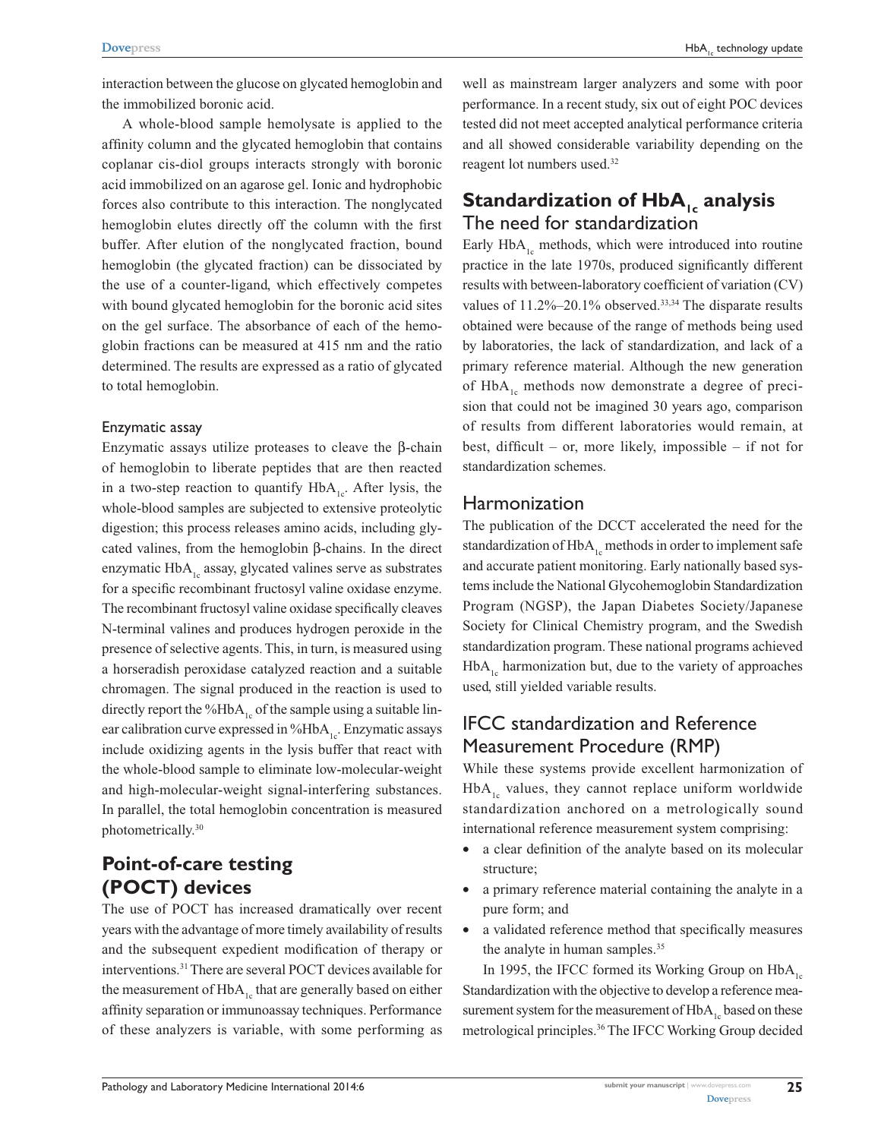interaction between the glucose on glycated hemoglobin and the immobilized boronic acid.

A whole-blood sample hemolysate is applied to the affinity column and the glycated hemoglobin that contains coplanar cis-diol groups interacts strongly with boronic acid immobilized on an agarose gel. Ionic and hydrophobic forces also contribute to this interaction. The nonglycated hemoglobin elutes directly off the column with the first buffer. After elution of the nonglycated fraction, bound hemoglobin (the glycated fraction) can be dissociated by the use of a counter-ligand, which effectively competes with bound glycated hemoglobin for the boronic acid sites on the gel surface. The absorbance of each of the hemoglobin fractions can be measured at 415 nm and the ratio determined. The results are expressed as a ratio of glycated to total hemoglobin.

#### Enzymatic assay

Enzymatic assays utilize proteases to cleave the β-chain of hemoglobin to liberate peptides that are then reacted in a two-step reaction to quantify  $HbA_{1c}$ . After lysis, the whole-blood samples are subjected to extensive proteolytic digestion; this process releases amino acids, including glycated valines, from the hemoglobin β-chains. In the direct enzymatic HbA<sub>1c</sub> assay, glycated valines serve as substrates for a specific recombinant fructosyl valine oxidase enzyme. The recombinant fructosyl valine oxidase specifically cleaves N-terminal valines and produces hydrogen peroxide in the presence of selective agents. This, in turn, is measured using a horseradish peroxidase catalyzed reaction and a suitable chromagen. The signal produced in the reaction is used to directly report the %Hb $A_{1c}$  of the sample using a suitable linear calibration curve expressed in  $%$ HbA<sub>1c</sub>. Enzymatic assays include oxidizing agents in the lysis buffer that react with the whole-blood sample to eliminate low-molecular-weight and high-molecular-weight signal-interfering substances. In parallel, the total hemoglobin concentration is measured photometrically.30

# **Point-of-care testing (POCT) devices**

The use of POCT has increased dramatically over recent years with the advantage of more timely availability of results and the subsequent expedient modification of therapy or interventions.31 There are several POCT devices available for the measurement of  $HbA_{1c}$  that are generally based on either affinity separation or immunoassay techniques. Performance of these analyzers is variable, with some performing as

well as mainstream larger analyzers and some with poor performance. In a recent study, six out of eight POC devices tested did not meet accepted analytical performance criteria and all showed considerable variability depending on the reagent lot numbers used.32

### **Standardization of HbA<sub>1c</sub> analysis** The need for standardization

Early  $HbA_{1c}$  methods, which were introduced into routine practice in the late 1970s, produced significantly different results with between-laboratory coefficient of variation (CV) values of 11.2%–20.1% observed.<sup>33,34</sup> The disparate results obtained were because of the range of methods being used by laboratories, the lack of standardization, and lack of a primary reference material. Although the new generation of  $HbA_{1c}$  methods now demonstrate a degree of precision that could not be imagined 30 years ago, comparison of results from different laboratories would remain, at best, difficult – or, more likely, impossible – if not for standardization schemes.

#### Harmonization

The publication of the DCCT accelerated the need for the standardization of  $HbA_{1c}$  methods in order to implement safe and accurate patient monitoring. Early nationally based systems include the National Glycohemoglobin Standardization Program (NGSP), the Japan Diabetes Society/Japanese Society for Clinical Chemistry program, and the Swedish standardization program. These national programs achieved  $HbA<sub>1c</sub>$  harmonization but, due to the variety of approaches used, still yielded variable results.

### IFCC standardization and Reference Measurement Procedure (RMP)

While these systems provide excellent harmonization of  $HbA<sub>1c</sub>$  values, they cannot replace uniform worldwide standardization anchored on a metrologically sound international reference measurement system comprising:

- a clear definition of the analyte based on its molecular structure;
- a primary reference material containing the analyte in a pure form; and
- a validated reference method that specifically measures the analyte in human samples.<sup>35</sup>

In 1995, the IFCC formed its Working Group on  $HbA<sub>1c</sub>$ Standardization with the objective to develop a reference measurement system for the measurement of  $HbA<sub>1c</sub>$  based on these metrological principles.36 The IFCC Working Group decided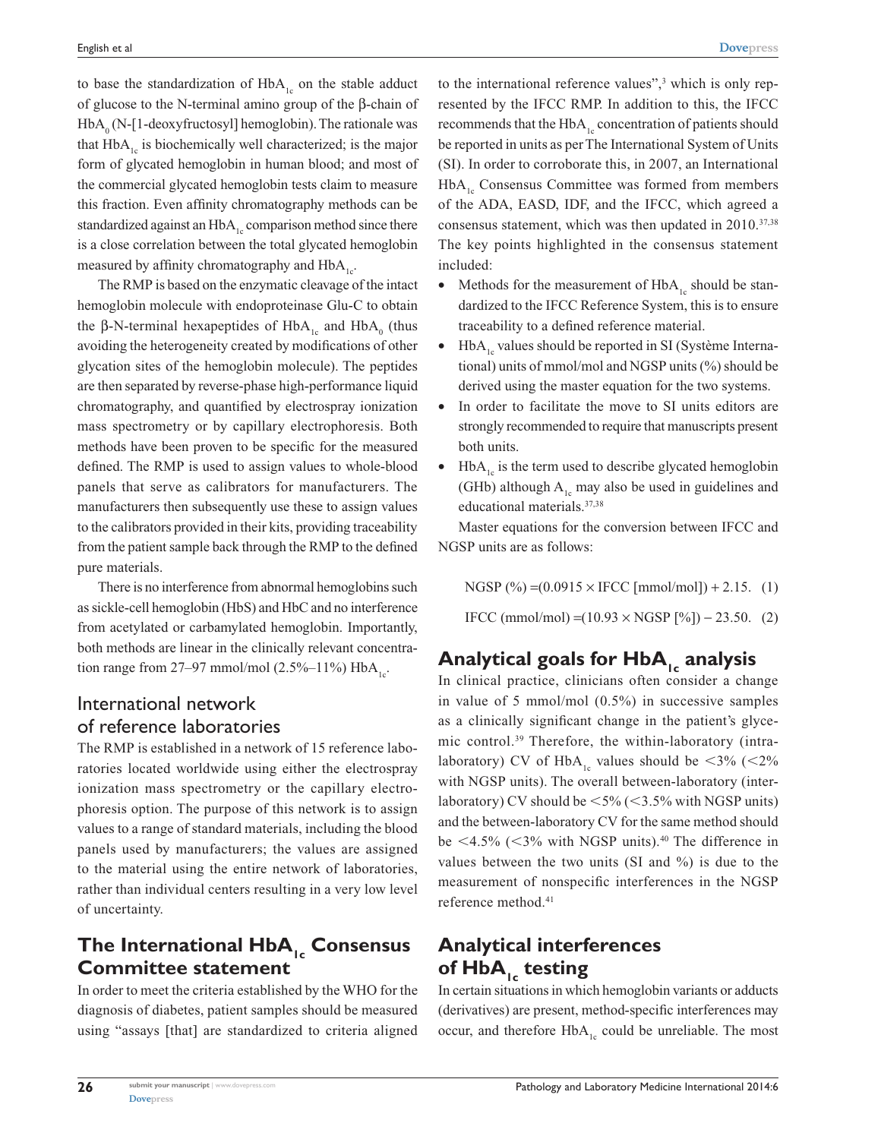**[Dovepress](www.dovepress.com)**

to base the standardization of  $HbA_{1c}$  on the stable adduct of glucose to the N-terminal amino group of the β-chain of  $\rm HbA_{_0} (N\text{-}[1-deoxyfructosyl]$  hemoglobin). The rationale was that  $HbA<sub>1c</sub>$  is biochemically well characterized; is the major form of glycated hemoglobin in human blood; and most of the commercial glycated hemoglobin tests claim to measure this fraction. Even affinity chromatography methods can be standardized against an  $HbA<sub>1c</sub>$  comparison method since there is a close correlation between the total glycated hemoglobin measured by affinity chromatography and  $HbA_{1c}$ .

The RMP is based on the enzymatic cleavage of the intact hemoglobin molecule with endoproteinase Glu-C to obtain the β-N-terminal hexapeptides of  $HbA<sub>1c</sub>$  and  $HbA<sub>0</sub>$  (thus avoiding the heterogeneity created by modifications of other glycation sites of the hemoglobin molecule). The peptides are then separated by reverse-phase high-performance liquid chromatography, and quantified by electrospray ionization mass spectrometry or by capillary electrophoresis. Both methods have been proven to be specific for the measured defined. The RMP is used to assign values to whole-blood panels that serve as calibrators for manufacturers. The manufacturers then subsequently use these to assign values to the calibrators provided in their kits, providing traceability from the patient sample back through the RMP to the defined pure materials.

There is no interference from abnormal hemoglobins such as sickle-cell hemoglobin (HbS) and HbC and no interference from acetylated or carbamylated hemoglobin. Importantly, both methods are linear in the clinically relevant concentration range from 27–97 mmol/mol (2.5%–11%) HbA<sub>1c</sub>.

### International network of reference laboratories

The RMP is established in a network of 15 reference laboratories located worldwide using either the electrospray ionization mass spectrometry or the capillary electrophoresis option. The purpose of this network is to assign values to a range of standard materials, including the blood panels used by manufacturers; the values are assigned to the material using the entire network of laboratories, rather than individual centers resulting in a very low level of uncertainty.

# The International HbA<sub>1c</sub> Consensus **Committee statement**

In order to meet the criteria established by the WHO for the diagnosis of diabetes, patient samples should be measured using "assays [that] are standardized to criteria aligned

to the international reference values",<sup>3</sup> which is only represented by the IFCC RMP. In addition to this, the IFCC recommends that the  $HbA_{1c}$  concentration of patients should be reported in units as per The International System of Units (SI). In order to corroborate this, in 2007, an International  $HbA<sub>1c</sub>$  Consensus Committee was formed from members of the ADA, EASD, IDF, and the IFCC, which agreed a consensus statement, which was then updated in  $2010^{37,38}$ The key points highlighted in the consensus statement included:

- Methods for the measurement of  $HbA_{1c}$  should be standardized to the IFCC Reference System, this is to ensure traceability to a defined reference material.
- HbA<sub>1c</sub> values should be reported in SI (Système International) units of mmol/mol and NGSP units (%) should be derived using the master equation for the two systems.
- In order to facilitate the move to SI units editors are strongly recommended to require that manuscripts present both units.
- $HbA<sub>1c</sub>$  is the term used to describe glycated hemoglobin (GHb) although  $A<sub>1c</sub>$  may also be used in guidelines and educational materials.37,38

Master equations for the conversion between IFCC and NGSP units are as follows:

NGSP (%) =  $(0.0915 \times \text{IFCC} \$ [mmol/mol]) + 2.15. (1)

IFCC (mmol/mol) =(10.93  $\times$  NGSP [%]) - 23.50. (2)

# Analytical goals for HbA<sub>1c</sub> analysis

In clinical practice, clinicians often consider a change in value of 5 mmol/mol (0.5%) in successive samples as a clinically significant change in the patient's glycemic control.39 Therefore, the within-laboratory (intralaboratory) CV of HbA<sub>1c</sub> values should be <3% (<2%) with NGSP units). The overall between-laboratory (interlaboratory) CV should be  $\leq 5\%$  ( $\leq 3.5\%$  with NGSP units) and the between-laboratory CV for the same method should be  $\leq$ 4.5% ( $\leq$ 3% with NGSP units).<sup>40</sup> The difference in values between the two units (SI and %) is due to the measurement of nonspecific interferences in the NGSP reference method.<sup>41</sup>

# **Analytical interferences**  of HbA<sub>1c</sub> testing

In certain situations in which hemoglobin variants or adducts (derivatives) are present, method-specific interferences may occur, and therefore  $HbA_{1c}$  could be unreliable. The most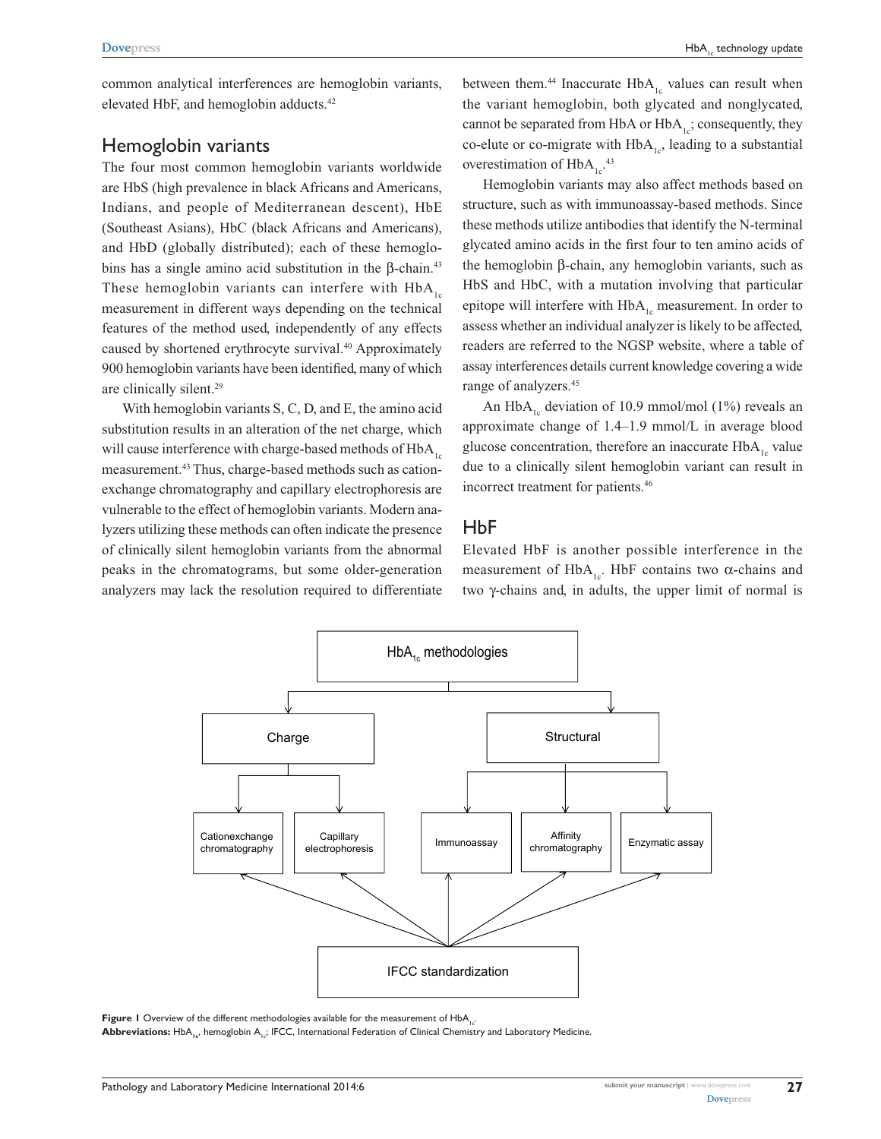common analytical interferences are hemoglobin variants, elevated HbF, and hemoglobin adducts.42

#### Hemoglobin variants

The four most common hemoglobin variants worldwide are HbS (high prevalence in black Africans and Americans, Indians, and people of Mediterranean descent), HbE (Southeast Asians), HbC (black Africans and Americans), and HbD (globally distributed); each of these hemoglobins has a single amino acid substitution in the β-chain.<sup>43</sup> These hemoglobin variants can interfere with  $HbA_{1c}$ measurement in different ways depending on the technical features of the method used, independently of any effects caused by shortened erythrocyte survival.<sup>40</sup> Approximately 900 hemoglobin variants have been identified, many of which are clinically silent.29

With hemoglobin variants S, C, D, and E, the amino acid substitution results in an alteration of the net charge, which will cause interference with charge-based methods of  $HbA_{1c}$ measurement.<sup>43</sup> Thus, charge-based methods such as cationexchange chromatography and capillary electrophoresis are vulnerable to the effect of hemoglobin variants. Modern analyzers utilizing these methods can often indicate the presence of clinically silent hemoglobin variants from the abnormal peaks in the chromatograms, but some older-generation analyzers may lack the resolution required to differentiate between them.<sup>44</sup> Inaccurate  $HbA_{1c}$  values can result when the variant hemoglobin, both glycated and nonglycated, cannot be separated from HbA or  $HbA_{1c}$ ; consequently, they co-elute or co-migrate with  $HbA_{1c}$ , leading to a substantial overestimation of  $HbA_{1c}$ <sup>43</sup>

Hemoglobin variants may also affect methods based on structure, such as with immunoassay-based methods. Since these methods utilize antibodies that identify the N-terminal glycated amino acids in the first four to ten amino acids of the hemoglobin β-chain, any hemoglobin variants, such as HbS and HbC, with a mutation involving that particular epitope will interfere with  $HbA<sub>1c</sub>$  measurement. In order to assess whether an individual analyzer is likely to be affected, readers are referred to the NGSP website, where a table of assay interferences details current knowledge covering a wide range of analyzers.<sup>45</sup>

An HbA<sub>1c</sub> deviation of 10.9 mmol/mol (1%) reveals an approximate change of 1.4–1.9 mmol/L in average blood glucose concentration, therefore an inaccurate  $HbA_{1c}$  value due to a clinically silent hemoglobin variant can result in incorrect treatment for patients.46

#### HbF

Elevated HbF is another possible interference in the measurement of HbA<sub>1c</sub>. HbF contains two α-chains and two γ-chains and, in adults, the upper limit of normal is



**Figure 1** Overview of the different methodologies available for the measurement of HbA<sub>1c</sub>.

Abbreviations: HbA<sub>1c</sub>, hemoglobin A<sub>1c</sub>; IFCC, International Federation of Clinical Chemistry and Laboratory Medicine.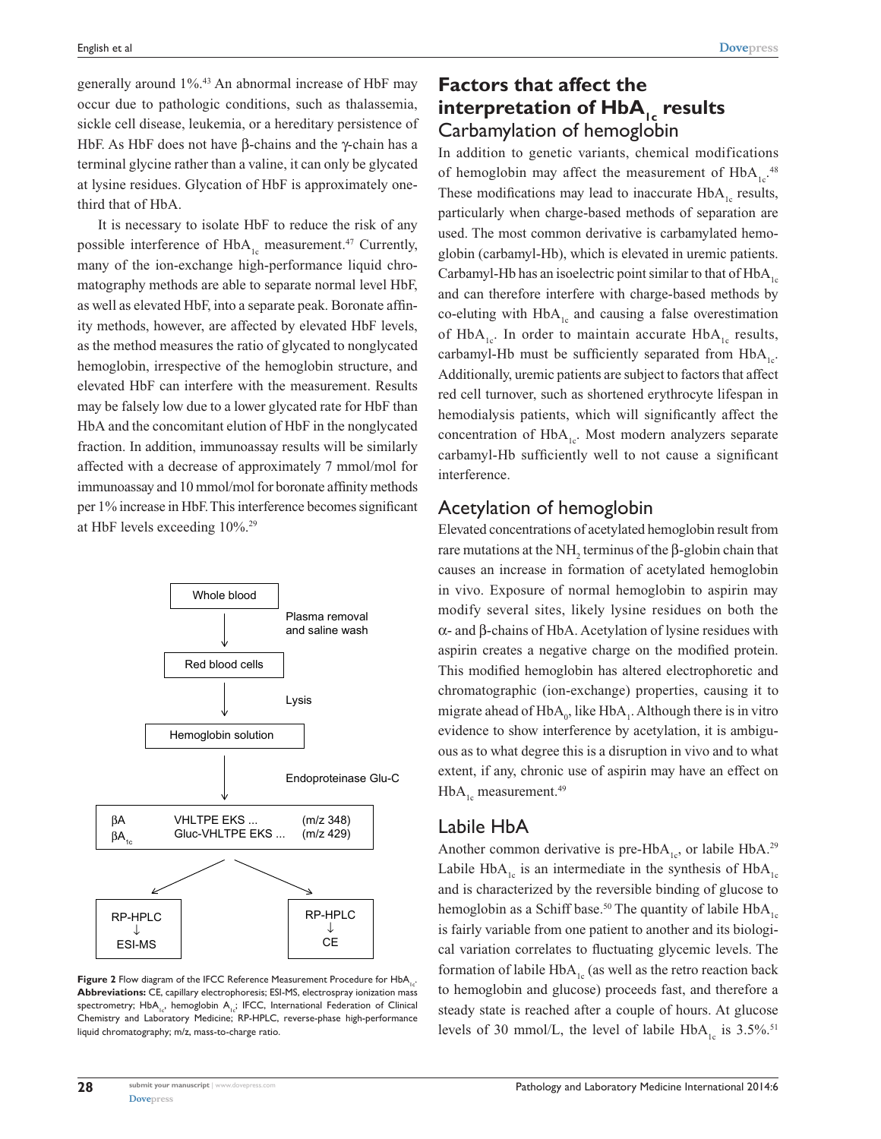generally around 1%.43 An abnormal increase of HbF may occur due to pathologic conditions, such as thalassemia, sickle cell disease, leukemia, or a hereditary persistence of HbF. As HbF does not have β-chains and the γ-chain has a terminal glycine rather than a valine, it can only be glycated at lysine residues. Glycation of HbF is approximately onethird that of HbA.

It is necessary to isolate HbF to reduce the risk of any possible interference of  $HbA_{1c}$  measurement.<sup>47</sup> Currently, many of the ion-exchange high-performance liquid chromatography methods are able to separate normal level HbF, as well as elevated HbF, into a separate peak. Boronate affinity methods, however, are affected by elevated HbF levels, as the method measures the ratio of glycated to nonglycated hemoglobin, irrespective of the hemoglobin structure, and elevated HbF can interfere with the measurement. Results may be falsely low due to a lower glycated rate for HbF than HbA and the concomitant elution of HbF in the nonglycated fraction. In addition, immunoassay results will be similarly affected with a decrease of approximately 7 mmol/mol for immunoassay and 10 mmol/mol for boronate affinity methods per 1% increase in HbF. This interference becomes significant at HbF levels exceeding 10%.29



**Figure 2** Flow diagram of the IFCC Reference Measurement Procedure for HbA<sub>1c</sub>. **Abbreviations:** CE, capillary electrophoresis; ESI-MS, electrospray ionization mass spectrometry;  $HbA_{1c}$ , hemoglobin  $A_{1c}$ ; IFCC, International Federation of Clinical Chemistry and Laboratory Medicine; RP-HPLC, reverse-phase high-performance liquid chromatography; m/z, mass-to-charge ratio.

### **Factors that affect the**  interpretation of HbA<sub>1c</sub> results Carbamylation of hemoglobin

In addition to genetic variants, chemical modifications of hemoglobin may affect the measurement of  $HbA_{1c}$ <sup>48</sup> These modifications may lead to inaccurate  $HbA<sub>1c</sub>$  results, particularly when charge-based methods of separation are used. The most common derivative is carbamylated hemoglobin (carbamyl-Hb), which is elevated in uremic patients. Carbamyl-Hb has an isoelectric point similar to that of  $HbA<sub>1c</sub>$ and can therefore interfere with charge-based methods by co-eluting with  $HbA_{1c}$  and causing a false overestimation of HbA<sub>1c</sub>. In order to maintain accurate HbA<sub>1c</sub> results, carbamyl-Hb must be sufficiently separated from  $HbA_{1c}$ . Additionally, uremic patients are subject to factors that affect red cell turnover, such as shortened erythrocyte lifespan in hemodialysis patients, which will significantly affect the concentration of  $HbA_{1c}$ . Most modern analyzers separate carbamyl-Hb sufficiently well to not cause a significant interference.

#### Acetylation of hemoglobin

Elevated concentrations of acetylated hemoglobin result from rare mutations at the NH<sub>2</sub> terminus of the β-globin chain that causes an increase in formation of acetylated hemoglobin in vivo. Exposure of normal hemoglobin to aspirin may modify several sites, likely lysine residues on both the α- and β-chains of HbA. Acetylation of lysine residues with aspirin creates a negative charge on the modified protein. This modified hemoglobin has altered electrophoretic and chromatographic (ion-exchange) properties, causing it to migrate ahead of  $HbA_0$ , like  $HbA_1$ . Although there is in vitro evidence to show interference by acetylation, it is ambiguous as to what degree this is a disruption in vivo and to what extent, if any, chronic use of aspirin may have an effect on  $HbA_{1c}$  measurement.<sup>49</sup>

#### Labile HbA

Another common derivative is pre-HbA<sub>1c</sub>, or labile HbA.<sup>29</sup> Labile HbA<sub>1c</sub> is an intermediate in the synthesis of HbA<sub>1c</sub> and is characterized by the reversible binding of glucose to hemoglobin as a Schiff base.<sup>50</sup> The quantity of labile  $HbA<sub>1c</sub>$ is fairly variable from one patient to another and its biological variation correlates to fluctuating glycemic levels. The formation of labile  $HbA_{1c}$  (as well as the retro reaction back to hemoglobin and glucose) proceeds fast, and therefore a steady state is reached after a couple of hours. At glucose levels of 30 mmol/L, the level of labile  $HbA<sub>1c</sub>$  is 3.5%.<sup>51</sup>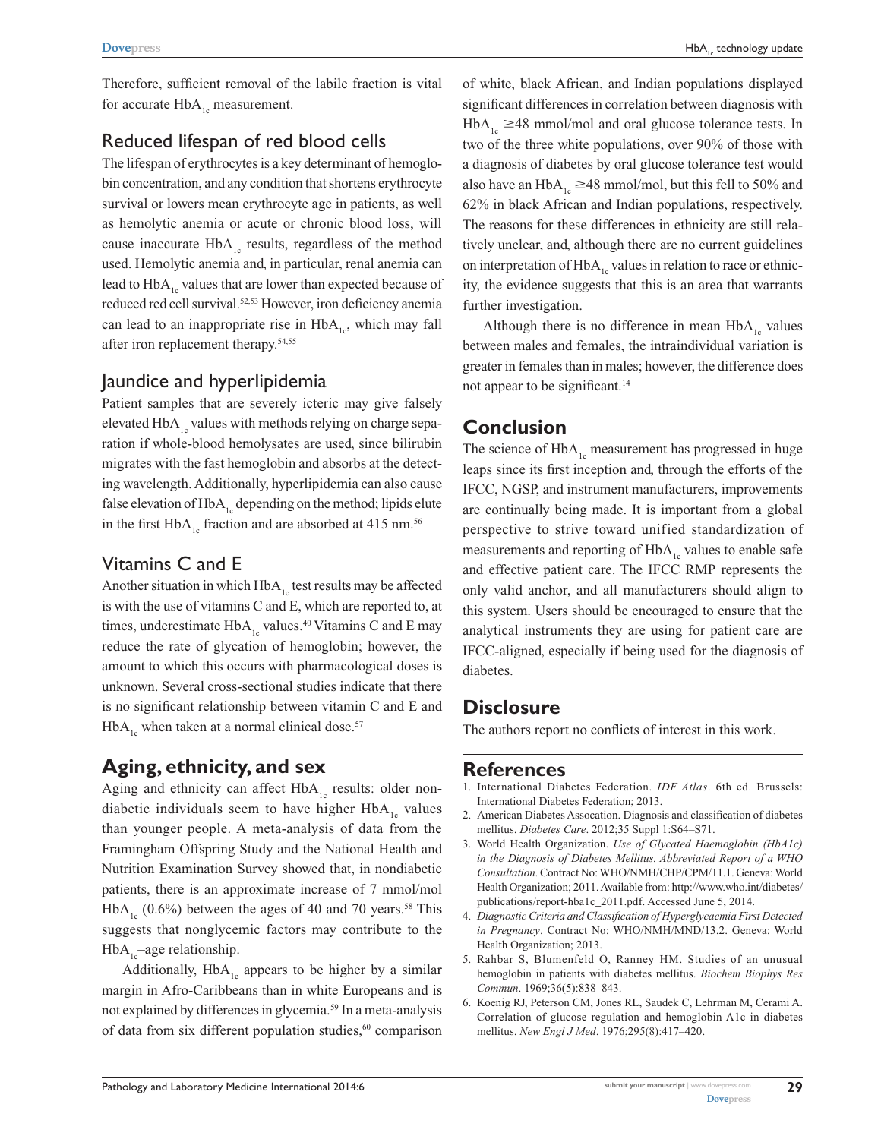Therefore, sufficient removal of the labile fraction is vital for accurate  $HbA_1$ <sub>n</sub> measurement.

## Reduced lifespan of red blood cells

The lifespan of erythrocytes is a key determinant of hemoglobin concentration, and any condition that shortens erythrocyte survival or lowers mean erythrocyte age in patients, as well as hemolytic anemia or acute or chronic blood loss, will cause inaccurate  $HbA_{1c}$  results, regardless of the method used. Hemolytic anemia and, in particular, renal anemia can lead to  $HbA<sub>1c</sub>$  values that are lower than expected because of reduced red cell survival.<sup>52,53</sup> However, iron deficiency anemia can lead to an inappropriate rise in  $HbA<sub>1c</sub>$ , which may fall after iron replacement therapy.54,55

### Jaundice and hyperlipidemia

Patient samples that are severely icteric may give falsely elevated  $HbA<sub>1c</sub>$  values with methods relying on charge separation if whole-blood hemolysates are used, since bilirubin migrates with the fast hemoglobin and absorbs at the detecting wavelength. Additionally, hyperlipidemia can also cause false elevation of  $HbA_{1c}$  depending on the method; lipids elute in the first  $HbA<sub>1c</sub>$  fraction and are absorbed at 415 nm.<sup>56</sup>

### Vitamins C and E

Another situation in which  $HbA<sub>1c</sub>$  test results may be affected is with the use of vitamins C and E, which are reported to, at times, underestimate  $HbA_{1c}$  values.<sup>40</sup> Vitamins C and E may reduce the rate of glycation of hemoglobin; however, the amount to which this occurs with pharmacological doses is unknown. Several cross-sectional studies indicate that there is no significant relationship between vitamin C and E and  $HbA_{1c}$  when taken at a normal clinical dose.<sup>57</sup>

# **Aging, ethnicity, and sex**

Aging and ethnicity can affect  $HbA<sub>1c</sub>$  results: older nondiabetic individuals seem to have higher  $HbA<sub>1c</sub>$  values than younger people. A meta-analysis of data from the Framingham Offspring Study and the National Health and Nutrition Examination Survey showed that, in nondiabetic patients, there is an approximate increase of 7 mmol/mol  $HbA<sub>1c</sub>$  (0.6%) between the ages of 40 and 70 years.<sup>58</sup> This suggests that nonglycemic factors may contribute to the  $HbA<sub>1</sub>$ –age relationship.

Additionally,  $HbA_{1c}$  appears to be higher by a similar margin in Afro-Caribbeans than in white Europeans and is not explained by differences in glycemia.59 In a meta-analysis of data from six different population studies,<sup>60</sup> comparison of white, black African, and Indian populations displayed significant differences in correlation between diagnosis with  $HbA_{1c} \geq 48$  mmol/mol and oral glucose tolerance tests. In two of the three white populations, over 90% of those with a diagnosis of diabetes by oral glucose tolerance test would also have an  $HbA_{1c} \ge 48$  mmol/mol, but this fell to 50% and 62% in black African and Indian populations, respectively. The reasons for these differences in ethnicity are still relatively unclear, and, although there are no current guidelines on interpretation of  $HbA_{1c}$  values in relation to race or ethnicity, the evidence suggests that this is an area that warrants further investigation.

Although there is no difference in mean  $HbA_{1c}$  values between males and females, the intraindividual variation is greater in females than in males; however, the difference does not appear to be significant.14

### **Conclusion**

The science of  $HbA_{1c}$  measurement has progressed in huge leaps since its first inception and, through the efforts of the IFCC, NGSP, and instrument manufacturers, improvements are continually being made. It is important from a global perspective to strive toward unified standardization of measurements and reporting of  $HbA<sub>1c</sub>$  values to enable safe and effective patient care. The IFCC RMP represents the only valid anchor, and all manufacturers should align to this system. Users should be encouraged to ensure that the analytical instruments they are using for patient care are IFCC-aligned, especially if being used for the diagnosis of diabetes.

### **Disclosure**

The authors report no conflicts of interest in this work.

### **References**

- 1. International Diabetes Federation. *IDF Atlas*. 6th ed. Brussels: International Diabetes Federation; 2013.
- 2. American Diabetes Assocation. Diagnosis and classification of diabetes mellitus. *Diabetes Care*. 2012;35 Suppl 1:S64–S71.
- 3. World Health Organization. *Use of Glycated Haemoglobin (HbA1c) in the Diagnosis of Diabetes Mellitus. Abbreviated Report of a WHO Consultation*. Contract No: WHO/NMH/CHP/CPM/11.1. Geneva: World Health Organization; 2011. Available from: [http://www.who.int/diabetes/](http://www.who.int/diabetes/publications/report-hba1c_2011.pdf) [publications/report-hba1c\\_2011.pdf](http://www.who.int/diabetes/publications/report-hba1c_2011.pdf). Accessed June 5, 2014.
- 4. *Diagnostic Criteria and Classification of Hyperglycaemia First Detected in Pregnancy*. Contract No: WHO/NMH/MND/13.2. Geneva: World Health Organization; 2013.
- 5. Rahbar S, Blumenfeld O, Ranney HM. Studies of an unusual hemoglobin in patients with diabetes mellitus. *Biochem Biophys Res Commun*. 1969;36(5):838–843.
- 6. Koenig RJ, Peterson CM, Jones RL, Saudek C, Lehrman M, Cerami A. Correlation of glucose regulation and hemoglobin A1c in diabetes mellitus. *New Engl J Med*. 1976;295(8):417–420.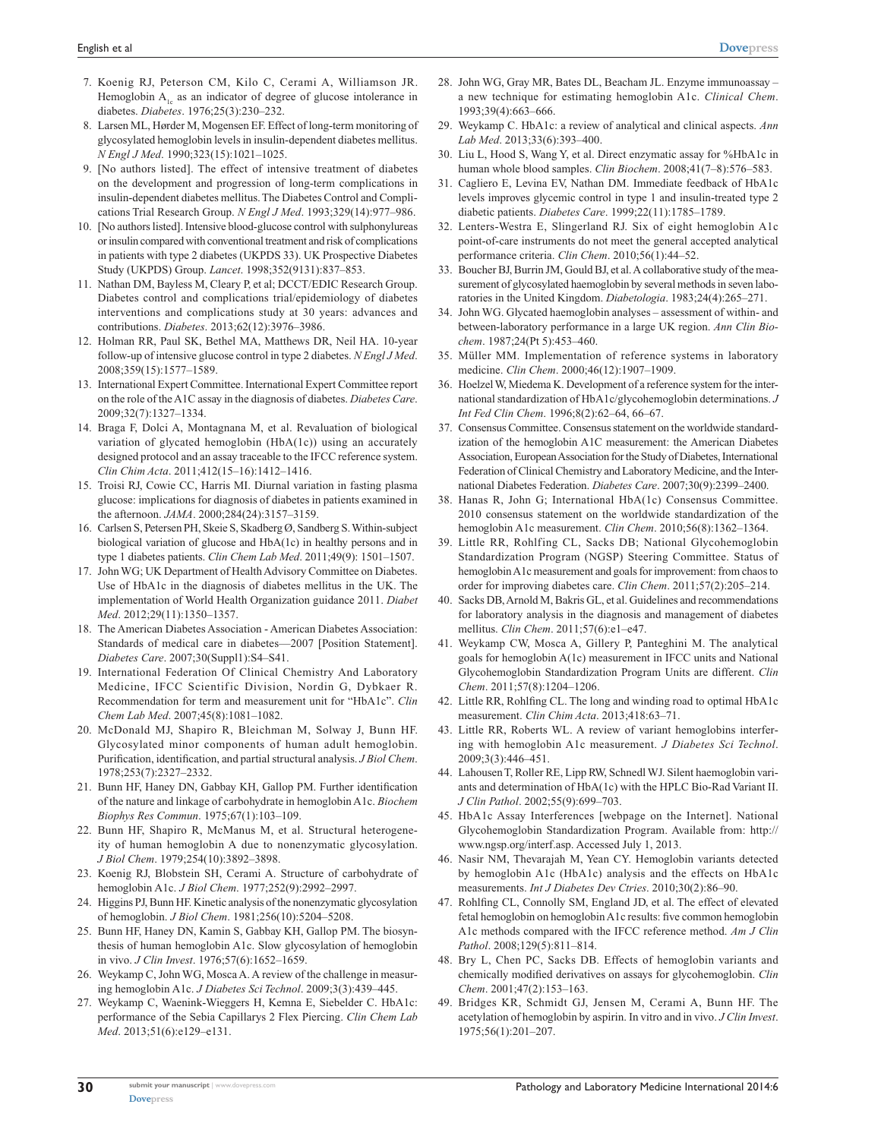- 7. Koenig RJ, Peterson CM, Kilo C, Cerami A, Williamson JR. Hemoglobin  $A_{1a}$  as an indicator of degree of glucose intolerance in diabetes. *Diabetes*. 1976;25(3):230–232.
- 8. Larsen ML, Hørder M, Mogensen EF. Effect of long-term monitoring of glycosylated hemoglobin levels in insulin-dependent diabetes mellitus. *N Engl J Med*. 1990;323(15):1021–1025.
- 9. [No authors listed]. The effect of intensive treatment of diabetes on the development and progression of long-term complications in insulin-dependent diabetes mellitus. The Diabetes Control and Complications Trial Research Group. *N Engl J Med*. 1993;329(14):977–986.
- 10. [No authors listed]. Intensive blood-glucose control with sulphonylureas or insulin compared with conventional treatment and risk of complications in patients with type 2 diabetes (UKPDS 33). UK Prospective Diabetes Study (UKPDS) Group. *Lancet*. 1998;352(9131):837–853.
- 11. Nathan DM, Bayless M, Cleary P, et al; DCCT/EDIC Research Group. Diabetes control and complications trial/epidemiology of diabetes interventions and complications study at 30 years: advances and contributions. *Diabetes*. 2013;62(12):3976–3986.
- 12. Holman RR, Paul SK, Bethel MA, Matthews DR, Neil HA. 10-year follow-up of intensive glucose control in type 2 diabetes. *N Engl J Med*. 2008;359(15):1577–1589.
- 13. International Expert Committee. International Expert Committee report on the role of the A1C assay in the diagnosis of diabetes. *Diabetes Care*. 2009;32(7):1327–1334.
- 14. Braga F, Dolci A, Montagnana M, et al. Revaluation of biological variation of glycated hemoglobin (HbA(1c)) using an accurately designed protocol and an assay traceable to the IFCC reference system. *Clin Chim Acta*. 2011;412(15–16):1412–1416.
- 15. Troisi RJ, Cowie CC, Harris MI. Diurnal variation in fasting plasma glucose: implications for diagnosis of diabetes in patients examined in the afternoon. *JAMA*. 2000;284(24):3157–3159.
- 16. Carlsen S, Petersen PH, Skeie S, Skadberg Ø, Sandberg S. Within-subject biological variation of glucose and HbA(1c) in healthy persons and in type 1 diabetes patients. *Clin Chem Lab Med*. 2011;49(9): 1501–1507.
- 17. John WG; UK Department of Health Advisory Committee on Diabetes. Use of HbA1c in the diagnosis of diabetes mellitus in the UK. The implementation of World Health Organization guidance 2011. *Diabet Med*. 2012;29(11):1350–1357.
- 18. The American Diabetes Association American Diabetes Association: Standards of medical care in diabetes—2007 [Position Statement]. *Diabetes Care*. 2007;30(Suppl1):S4–S41.
- 19. International Federation Of Clinical Chemistry And Laboratory Medicine, IFCC Scientific Division, Nordin G, Dybkaer R. Recommendation for term and measurement unit for "HbA1c". *Clin Chem Lab Med*. 2007;45(8):1081–1082.
- 20. McDonald MJ, Shapiro R, Bleichman M, Solway J, Bunn HF. Glycosylated minor components of human adult hemoglobin. Purification, identification, and partial structural analysis. *J Biol Chem*. 1978;253(7):2327–2332.
- 21. Bunn HF, Haney DN, Gabbay KH, Gallop PM. Further identification of the nature and linkage of carbohydrate in hemoglobin A1c. *Biochem Biophys Res Commun*. 1975;67(1):103–109.
- 22. Bunn HF, Shapiro R, McManus M, et al. Structural heterogeneity of human hemoglobin A due to nonenzymatic glycosylation. *J Biol Chem*. 1979;254(10):3892–3898.
- 23. Koenig RJ, Blobstein SH, Cerami A. Structure of carbohydrate of hemoglobin A1c. *J Biol Chem*. 1977;252(9):2992–2997.
- 24. Higgins PJ, Bunn HF. Kinetic analysis of the nonenzymatic glycosylation of hemoglobin. *J Biol Chem*. 1981;256(10):5204–5208.
- 25. Bunn HF, Haney DN, Kamin S, Gabbay KH, Gallop PM. The biosynthesis of human hemoglobin A1c. Slow glycosylation of hemoglobin in vivo. *J Clin Invest*. 1976;57(6):1652–1659.
- 26. Weykamp C, John WG, Mosca A. A review of the challenge in measuring hemoglobin A1c. *J Diabetes Sci Technol*. 2009;3(3):439–445.
- 27. Weykamp C, Waenink-Wieggers H, Kemna E, Siebelder C. HbA1c: performance of the Sebia Capillarys 2 Flex Piercing. *Clin Chem Lab Med*. 2013;51(6):e129–e131.
- 28. John WG, Gray MR, Bates DL, Beacham JL. Enzyme immunoassay a new technique for estimating hemoglobin A1c. *Clinical Chem*. 1993;39(4):663–666.
- 29. Weykamp C. HbA1c: a review of analytical and clinical aspects. *Ann Lab Med*. 2013;33(6):393–400.
- 30. Liu L, Hood S, Wang Y, et al. Direct enzymatic assay for %HbA1c in human whole blood samples. *Clin Biochem*. 2008;41(7–8):576–583.
- 31. Cagliero E, Levina EV, Nathan DM. Immediate feedback of HbA1c levels improves glycemic control in type 1 and insulin-treated type 2 diabetic patients. *Diabetes Care*. 1999;22(11):1785–1789.
- 32. Lenters-Westra E, Slingerland RJ. Six of eight hemoglobin A1c point-of-care instruments do not meet the general accepted analytical performance criteria. *Clin Chem*. 2010;56(1):44–52.
- 33. Boucher BJ, Burrin JM, Gould BJ, et al. A collaborative study of the measurement of glycosylated haemoglobin by several methods in seven laboratories in the United Kingdom. *Diabetologia*. 1983;24(4):265–271.
- 34. John WG. Glycated haemoglobin analyses assessment of within- and between-laboratory performance in a large UK region. *Ann Clin Biochem*. 1987;24(Pt 5):453–460.
- 35. Müller MM. Implementation of reference systems in laboratory medicine. *Clin Chem*. 2000;46(12):1907–1909.
- 36. Hoelzel W, Miedema K. Development of a reference system for the international standardization of HbA1c/glycohemoglobin determinations. *J Int Fed Clin Chem*. 1996;8(2):62–64, 66–67.
- 37. Consensus Committee. Consensus statement on the worldwide standardization of the hemoglobin A1C measurement: the American Diabetes Association, European Association for the Study of Diabetes, International Federation of Clinical Chemistry and Laboratory Medicine, and the International Diabetes Federation. *Diabetes Care*. 2007;30(9):2399–2400.
- 38. Hanas R, John G; International HbA(1c) Consensus Committee. 2010 consensus statement on the worldwide standardization of the hemoglobin A1c measurement. *Clin Chem*. 2010;56(8):1362–1364.
- 39. Little RR, Rohlfing CL, Sacks DB; National Glycohemoglobin Standardization Program (NGSP) Steering Committee. Status of hemoglobin A1c measurement and goals for improvement: from chaos to order for improving diabetes care. *Clin Chem*. 2011;57(2):205–214.
- 40. Sacks DB, Arnold M, Bakris GL, et al. Guidelines and recommendations for laboratory analysis in the diagnosis and management of diabetes mellitus. *Clin Chem*. 2011;57(6):e1–e47.
- 41. Weykamp CW, Mosca A, Gillery P, Panteghini M. The analytical goals for hemoglobin A(1c) measurement in IFCC units and National Glycohemoglobin Standardization Program Units are different. *Clin Chem*. 2011;57(8):1204–1206.
- 42. Little RR, Rohlfing CL. The long and winding road to optimal HbA1c measurement. *Clin Chim Acta*. 2013;418:63–71.
- 43. Little RR, Roberts WL. A review of variant hemoglobins interfering with hemoglobin A1c measurement. *J Diabetes Sci Technol*. 2009;3(3):446–451.
- 44. Lahousen T, Roller RE, Lipp RW, Schnedl WJ. Silent haemoglobin variants and determination of HbA(1c) with the HPLC Bio-Rad Variant II. *J Clin Pathol*. 2002;55(9):699–703.
- 45. HbA1c Assay Interferences [webpage on the Internet]. National Glycohemoglobin Standardization Program. Available from: [http://](http://www.ngsp.org/interf.asp) [www.ngsp.org/interf.asp](http://www.ngsp.org/interf.asp). Accessed July 1, 2013.
- 46. Nasir NM, Thevarajah M, Yean CY. Hemoglobin variants detected by hemoglobin A1c (HbA1c) analysis and the effects on HbA1c measurements. *Int J Diabetes Dev Ctries*. 2010;30(2):86–90.
- 47. Rohlfing CL, Connolly SM, England JD, et al. The effect of elevated fetal hemoglobin on hemoglobin A1c results: five common hemoglobin A1c methods compared with the IFCC reference method. *Am J Clin Pathol*. 2008;129(5):811–814.
- 48. Bry L, Chen PC, Sacks DB. Effects of hemoglobin variants and chemically modified derivatives on assays for glycohemoglobin. *Clin Chem*. 2001;47(2):153–163.
- 49. Bridges KR, Schmidt GJ, Jensen M, Cerami A, Bunn HF. The acetylation of hemoglobin by aspirin. In vitro and in vivo. *J Clin Invest*. 1975;56(1):201–207.